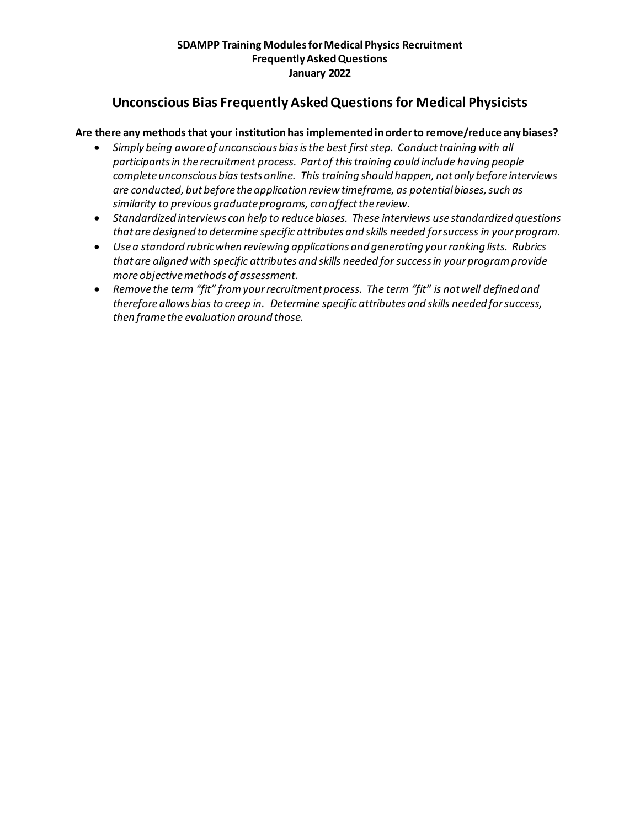# **Unconscious Bias Frequently Asked Questions for Medical Physicists**

## **Are there any methods that your institution has implemented in order to remove/reduce any biases?**

- *Simply being aware of unconscious bias is the best first step. Conduct training with all participants in the recruitment process. Part of this training could include having people complete unconscious bias tests online. This training should happen, not only before interviews are conducted, but before the application review timeframe, as potential biases, such as similarity to previous graduate programs, can affect the review.*
- *Standardized interviews can help to reduce biases. These interviews use standardized questions that are designed to determine specific attributes and skills needed for success in your program.*
- *Use a standard rubric when reviewing applications and generating your ranking lists. Rubrics that are aligned with specific attributes and skills needed for success in your program provide more objective methods of assessment.*
- *Remove the term "fit" from your recruitment process. The term "fit" is not well defined and therefore allows bias to creep in. Determine specific attributes and skills needed for success, then frame the evaluation around those.*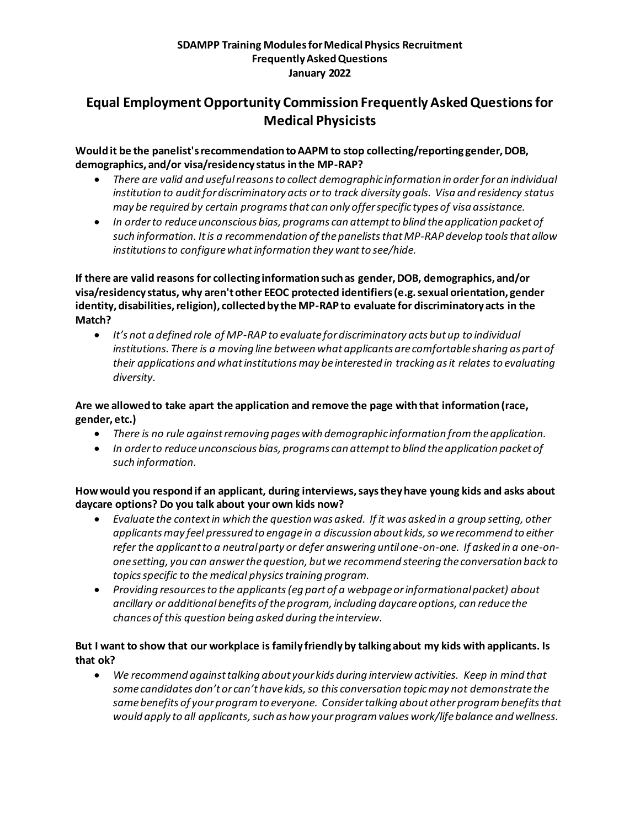# **Equal Employment Opportunity Commission Frequently Asked Questions for Medical Physicists**

## **Would it be the panelist's recommendation to AAPM to stop collecting/reporting gender, DOB, demographics, and/or visa/residency status in the MP-RAP?**

- *There are valid and useful reasons to collect demographic information in order for an individual institution to auditfor discriminatory acts or to track diversity goals. Visa and residency status may be required by certain programs that can only offer specific types of visa assistance.*
- *In order to reduce unconscious bias, programs can attempt to blind the application packet of such information. It is a recommendation of the panelists that MP-RAP develop tools that allow institutions to configure what information they want to see/hide.*

**If there are valid reasons for collecting information such as gender, DOB, demographics, and/or visa/residency status, why aren't other EEOC protected identifiers (e.g. sexual orientation, gender identity, disabilities, religion), collected by the MP-RAP to evaluate for discriminatory acts in the Match?** 

• *It's not a defined role of MP-RAP to evaluate for discriminatory acts but up to individual institutions. There is a moving line between what applicants are comfortable sharing as part of their applications and what institutions may be interested in tracking as it relates to evaluating diversity.*

# **Are we allowed to take apart the application and remove the page with that information (race, gender, etc.)**

- *There is no rule against removing pages with demographic information from the application.*
- *In order to reduce unconscious bias, programs can attempt to blind the application packet of such information.*

## **How would you respond if an applicant, during interviews, says they have young kids and asks about daycare options? Do you talk about your own kids now?**

- *Evaluate the context in which the question was asked. If it was asked in a group setting, other applicants may feel pressured to engage in a discussion about kids, so we recommend to either refer the applicant to a neutral party or defer answering until one-on-one. If asked in a one-onone setting, you can answer the question, but we recommend steering the conversation back to topics specific to the medical physics training program.*
- *Providing resources to the applicants(eg part of a webpage or informational packet) about ancillary or additional benefits of the program, including daycare options, can reduce the chances of this question being asked during the interview.*

# **But I want to show that our workplace is family friendly by talking about my kids with applicants. Is that ok?**

• *We recommend against talking about your kids during interview activities. Keep in mind that some candidates don't or can't have kids, so this conversation topic may not demonstrate the same benefits of your program to everyone. Consider talking about other program benefits that would apply to all applicants, such as how your program values work/life balance and wellness.*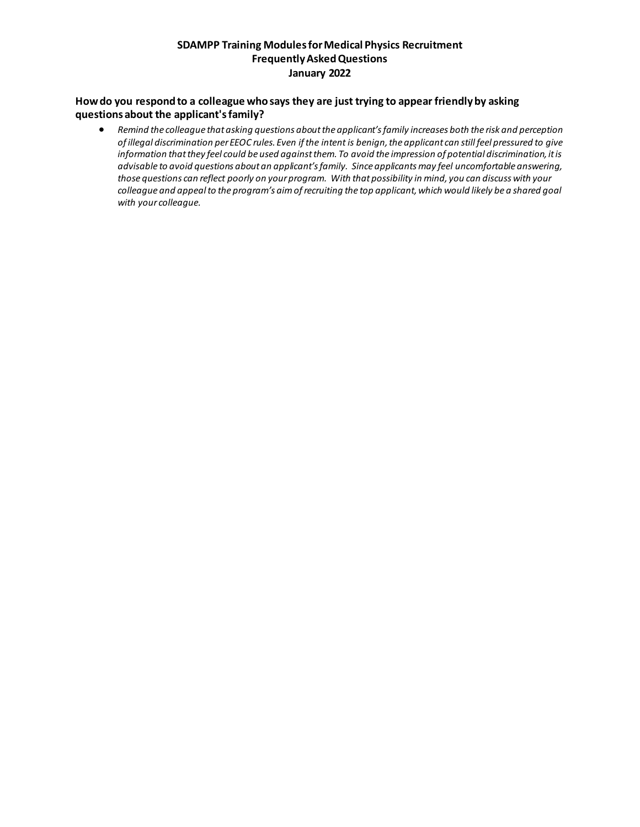#### **How do you respond to a colleague who says they are just trying to appear friendly by asking questions about the applicant's family?**

• *Remind the colleague that asking questions about the applicant's family increases both the risk and perception of illegal discrimination per EEOC rules. Even if the intent is benign, the applicant can still feel pressured to give information that they feel could be used against them. To avoid the impression of potential discrimination, it is advisable to avoid questions about an applicant's family. Since applicants may feel uncomfortable answering, those questions can reflect poorly on your program. With that possibility in mind, you can discuss with your colleague and appeal to the program's aim of recruiting the top applicant, which would likely be a shared goal with your colleague.*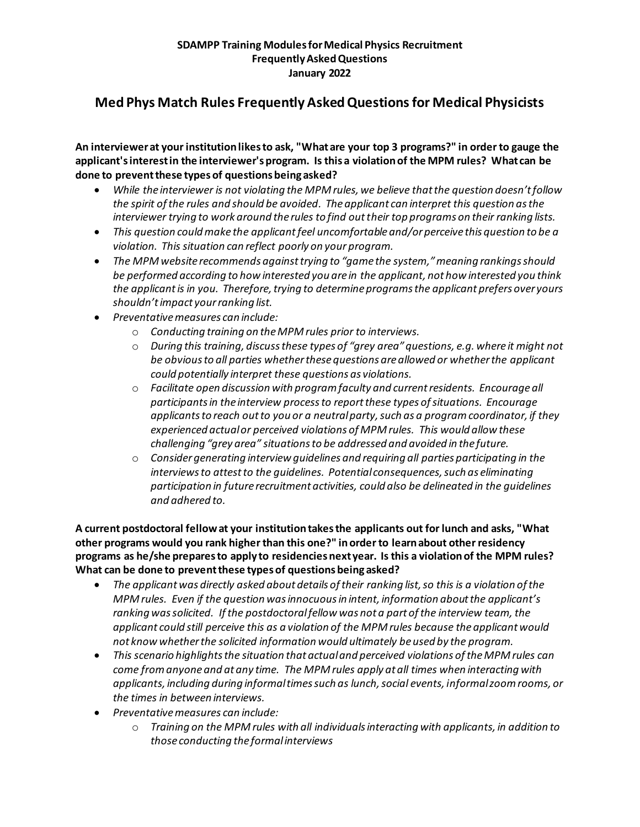# **Med Phys Match Rules Frequently Asked Questions for Medical Physicists**

**An interviewer at your institution likes to ask, "What are your top 3 programs?" in order to gauge the applicant's interest in the interviewer's program. Is this a violation of the MPM rules? What can be done to prevent these types of questions being asked?**

- *While the interviewer is not violating the MPM rules, we believe that the question doesn't follow the spirit of the rules and should be avoided. The applicant can interpret this question as the interviewer trying to work around the rules to find out their top programs on their ranking lists.*
- *This question could make the applicantfeel uncomfortable and/or perceive this question to be a violation. This situation can reflect poorly on your program.*
- *The MPM website recommends against trying to "game the system," meaning rankings should be performed according to how interested you are in the applicant, not how interested you think the applicantis in you. Therefore, trying to determine programs the applicant prefers over yours shouldn't impact your ranking list.*
- *Preventative measures can include:*
	- o *Conducting training on the MPM rules prior to interviews.*
	- o *During this training, discuss these types of "grey area" questions, e.g. where it might not be obvious to all parties whether these questions are allowed or whether the applicant could potentially interpret these questions as violations.*
	- o *Facilitate open discussion with program faculty and current residents. Encourage all participants in the interview process to report these types of situations. Encourage applicants to reach out to you or a neutral party, such as a program coordinator, if they experienced actual or perceived violations of MPM rules. This would allow these challenging "grey area" situations to be addressed and avoided in the future.*
	- o *Consider generating interview guidelines and requiring all parties participating in the interviews to attest to the guidelines. Potential consequences, such as eliminating participation in future recruitment activities, could also be delineated in the guidelines and adhered to.*

**A current postdoctoral fellow at your institution takes the applicants out for lunch and asks, "What other programs would you rank higher than this one?" in order to learn about other residency programs as he/she prepares to apply to residencies next year. Is this a violation of the MPM rules? What can be done to prevent these types of questions being asked?**

- The applicant was directly asked about details of their ranking list, so this is a violation of the *MPM rules. Even if the question was innocuous in intent, information about the applicant's ranking was solicited. If the postdoctoral fellow was not a part of the interview team, the applicant could still perceive this as a violation of the MPM rules because the applicantwould not know whether the solicited information would ultimately be used by the program.*
- *This scenario highlights the situation that actual and perceived violations of the MPM rules can come from anyone and at any time. The MPM rules apply at all times when interacting with applicants, including during informal times such as lunch, social events, informal zoom rooms, or the times in between interviews.*
- *Preventative measures can include:*
	- o *Training on the MPM rules with all individuals interacting with applicants, in addition to those conducting the formal interviews*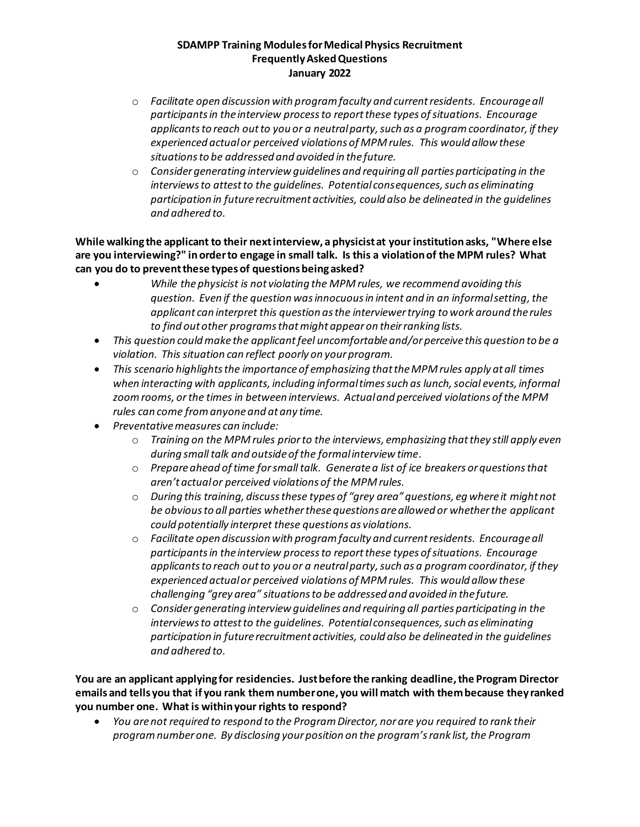- o *Facilitate open discussion with program faculty and current residents. Encourage all participants in the interview process to report these types of situations. Encourage applicants to reach out to you or a neutral party, such as a program coordinator, if they experienced actual or perceived violations of MPM rules. This would allow these situations to be addressed and avoided in the future.*
- o *Consider generating interview guidelines and requiring all parties participating in the interviews to attest to the guidelines. Potential consequences, such as eliminating participation in future recruitment activities, could also be delineated in the guidelines and adhered to.*

**While walking the applicant to their next interview, a physicist at your institution asks, "Where else are you interviewing?" in order to engage in small talk. Is this a violation of the MPM rules? What can you do to prevent these types of questions being asked?**

- *While the physicist is not violating the MPM rules, we recommend avoiding this question. Even if the question was innocuous in intent and in an informal setting, the applicant can interpret this question as the interviewer trying to work around the rules to find out other programs that might appear on their ranking lists.*
- *This question could make the applicantfeel uncomfortable and/or perceive this question to be a violation. This situation can reflect poorly on your program.*
- *This scenario highlights the importance of emphasizing that the MPM rules apply at all times*  when interacting with applicants, including informal times such as lunch, social events, informal *zoom rooms, or the times in between interviews. Actual and perceived violations of the MPM rules can come from anyone and at any time.*
- *Preventative measures can include:*
	- o *Training on the MPM rules prior to the interviews, emphasizing that they still apply even during small talk and outside of the formal interview time.*
	- o *Prepare ahead of time for small talk. Generate a list of ice breakers or questions that aren't actual or perceived violations of the MPM rules.*
	- o *During this training, discuss these types of "grey area" questions, eg where it might not be obvious to all parties whether these questions are allowed or whether the applicant could potentially interpret these questions as violations.*
	- o *Facilitate open discussion with program faculty and current residents. Encourage all participants in the interview process to report these types of situations. Encourage applicants to reach out to you or a neutral party, such as a program coordinator, if they experienced actual or perceived violations of MPM rules. This would allow these challenging "grey area" situations to be addressed and avoided in the future.*
	- o *Consider generating interview guidelines and requiring all parties participating in the interviews to attest to the guidelines. Potential consequences, such as eliminating participation in future recruitment activities, could also be delineated in the guidelines and adhered to.*

**You are an applicant applying for residencies. Just before the ranking deadline, the Program Director emails and tells you that if you rank them number one, you will match with them because they ranked you number one. What is within your rights to respond?**

• *You are not required to respond to the Program Director, nor are you required to rank their program number one. By disclosing your position on the program's rank list, the Program*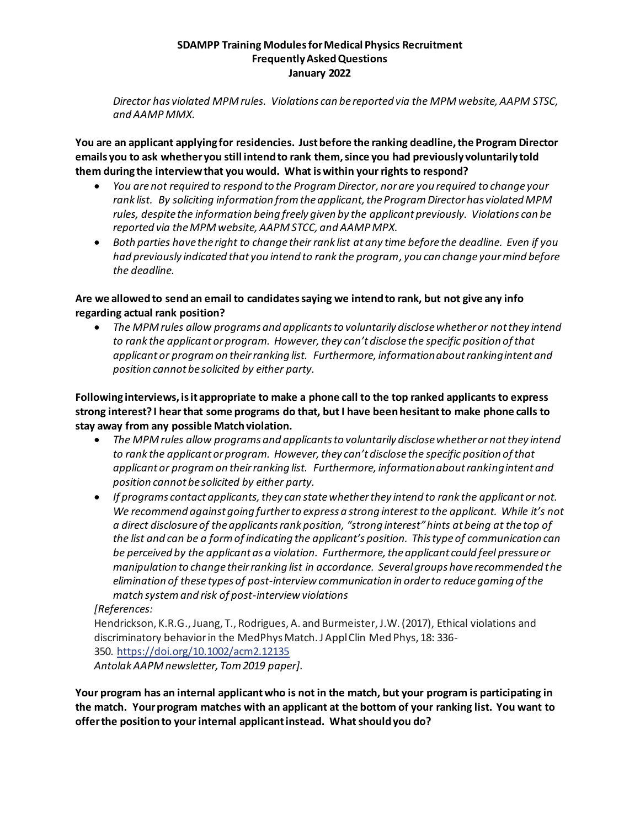*Director has violated MPM rules. Violations can be reported via the MPM website, AAPM STSC, and AAMP MMX.*

**You are an applicant applying for residencies. Just before the ranking deadline, the Program Director emails you to ask whether you still intend to rank them, since you had previously voluntarily told them during the interview that you would. What is within your rights to respond?**

- *You are not required to respond to the Program Director, nor are you required to change your rank list. By soliciting information from the applicant, the Program Director has violated MPM rules, despite the information being freely given by the applicant previously. Violations can be reported via the MPM website, AAPM STCC, and AAMP MPX.*
- *Both parties have the right to change their rank list at any time before the deadline. Even if you had previously indicated that you intend to rank the program, you can change your mind before the deadline.*

### **Are we allowed to send an email to candidates saying we intend to rank, but not give any info regarding actual rank position?**

• *The MPM rules allow programs and applicants to voluntarily disclose whether or not they intend to rank the applicant or program. However, they can't disclose the specific position of that applicant or program on their ranking list. Furthermore, information about ranking intent and position cannot be solicited by either party.*

**Following interviews, is it appropriate to make a phone call to the top ranked applicants to express strong interest? I hear that some programs do that, but I have been hesitant to make phone calls to stay away from any possible Match violation.**

- *The MPM rules allow programs and applicants to voluntarily disclose whether or not they intend to rank the applicant or program. However, they can't disclose the specific position of that applicant or program on their ranking list. Furthermore, information about ranking intent and position cannot be solicited by either party.*
- *If programs contact applicants, they can state whether they intend to rank the applicant or not. We recommend against going further to express a strong interest to the applicant. While it's not a direct disclosure of the applicants rank position, "strong interest"hints at being at the top of the list and can be a form of indicating the applicant's position. This type of communication can*  be perceived by the applicant as a violation. Furthermore, the applicant could feel pressure or *manipulation to change their ranking list in accordance. Several groups have recommended the elimination of these types of post-interview communication in order to reduce gaming of the match system and risk of post-interview violations*

### *[References:*

Hendrickson, K.R.G., Juang, T., Rodrigues, A. and Burmeister, J.W. (2017), Ethical violations and discriminatory behavior in the MedPhys Match. J Appl Clin Med Phys, 18: 336- 350. https://doi.org/10.1002/acm2.12135 *Antolak AAPM newsletter, Tom 2019 paper].*

**Your program has an internal applicantwho is not in the match, but your program is participating in the match. Your program matches with an applicant at the bottom of your ranking list. You want to offer the position to your internal applicantinstead. What should you do?**